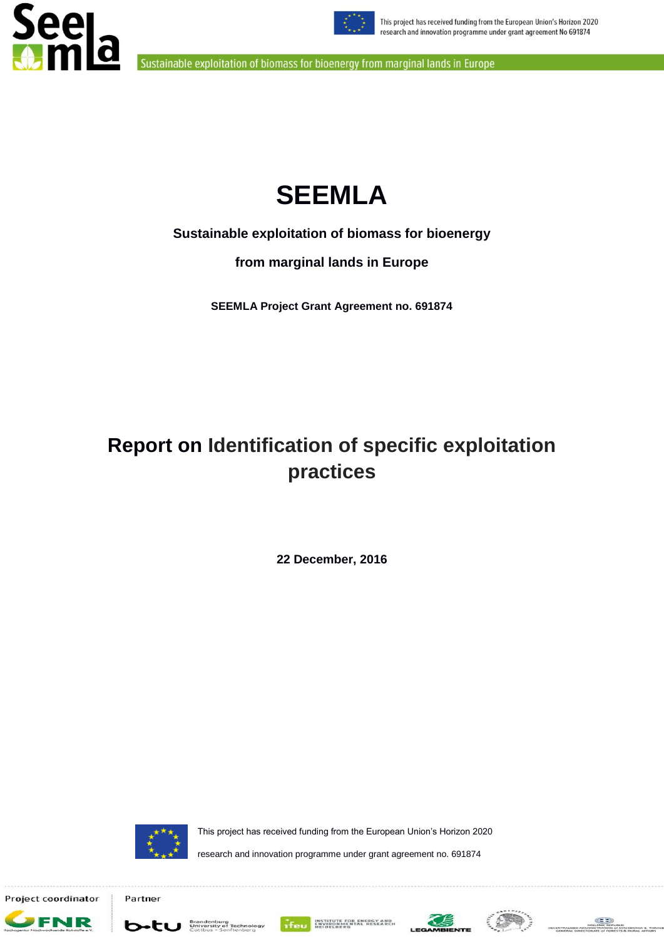



# **SEEMLA**

**Sustainable exploitation of biomass for bioenergy**

**from marginal lands in Europe**

**SEEMLA Project Grant Agreement no. 691874**

# **Report on Identification of specific exploitation practices**

**22 December, 2016**



Partner

This project has received funding from the European Union"s Horizon 2020

research and innovation programme under grant agreement no. 691874

Project coordinator













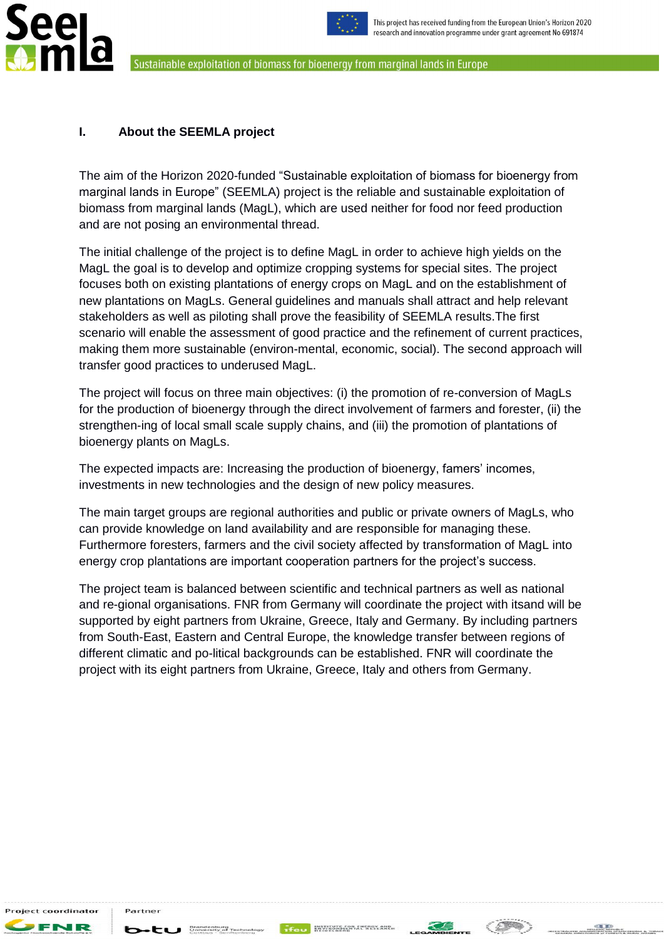



# <span id="page-1-0"></span>**I. About the SEEMLA project**

The aim of the Horizon 2020-funded "Sustainable exploitation of biomass for bioenergy from marginal lands in Europe" (SEEMLA) project is the reliable and sustainable exploitation of biomass from marginal lands (MagL), which are used neither for food nor feed production and are not posing an environmental thread.

The initial challenge of the project is to define MagL in order to achieve high yields on the MagL the goal is to develop and optimize cropping systems for special sites. The project focuses both on existing plantations of energy crops on MagL and on the establishment of new plantations on MagLs. General guidelines and manuals shall attract and help relevant stakeholders as well as piloting shall prove the feasibility of SEEMLA results.The first scenario will enable the assessment of good practice and the refinement of current practices, making them more sustainable (environ-mental, economic, social). The second approach will transfer good practices to underused MagL.

The project will focus on three main objectives: (i) the promotion of re-conversion of MagLs for the production of bioenergy through the direct involvement of farmers and forester, (ii) the strengthen-ing of local small scale supply chains, and (iii) the promotion of plantations of bioenergy plants on MagLs.

The expected impacts are: Increasing the production of bioenergy, famers' incomes, investments in new technologies and the design of new policy measures.

The main target groups are regional authorities and public or private owners of MagLs, who can provide knowledge on land availability and are responsible for managing these. Furthermore foresters, farmers and the civil society affected by transformation of MagL into energy crop plantations are important cooperation partners for the project"s success.

The project team is balanced between scientific and technical partners as well as national and re-gional organisations. FNR from Germany will coordinate the project with itsand will be supported by eight partners from Ukraine, Greece, Italy and Germany. By including partners from South-East, Eastern and Central Europe, the knowledge transfer between regions of different climatic and po-litical backgrounds can be established. FNR will coordinate the project with its eight partners from Ukraine, Greece, Italy and others from Germany.

,<br>Project coordinator

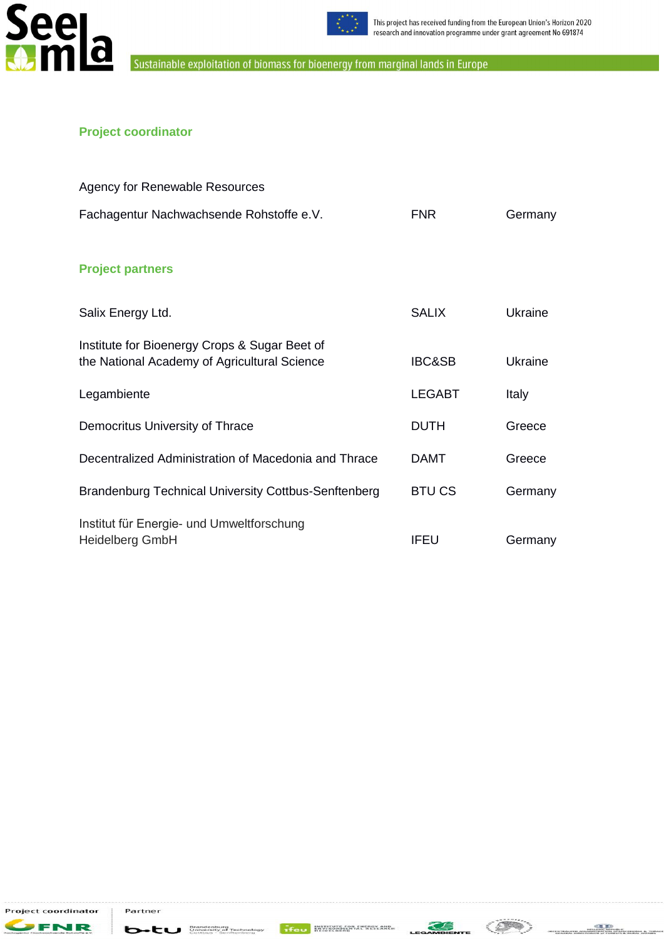



# **Project coordinator**

| <b>Agency for Renewable Resources</b>                                                         |                   |         |
|-----------------------------------------------------------------------------------------------|-------------------|---------|
| Fachagentur Nachwachsende Rohstoffe e.V.                                                      | <b>FNR</b>        | Germany |
| <b>Project partners</b>                                                                       |                   |         |
| Salix Energy Ltd.                                                                             | <b>SALIX</b>      | Ukraine |
| Institute for Bioenergy Crops & Sugar Beet of<br>the National Academy of Agricultural Science | <b>IBC&amp;SB</b> | Ukraine |
| Legambiente                                                                                   | <b>LEGABT</b>     | Italy   |
| Democritus University of Thrace                                                               | <b>DUTH</b>       | Greece  |
| Decentralized Administration of Macedonia and Thrace                                          | DAMT              | Greece  |
| <b>Brandenburg Technical University Cottbus-Senftenberg</b>                                   | <b>BTUCS</b>      | Germany |
| Institut für Energie- und Umweltforschung<br><b>Heidelberg GmbH</b>                           | IFEU              | Germany |

Project coordinator FR

J 12

Partner

Ь



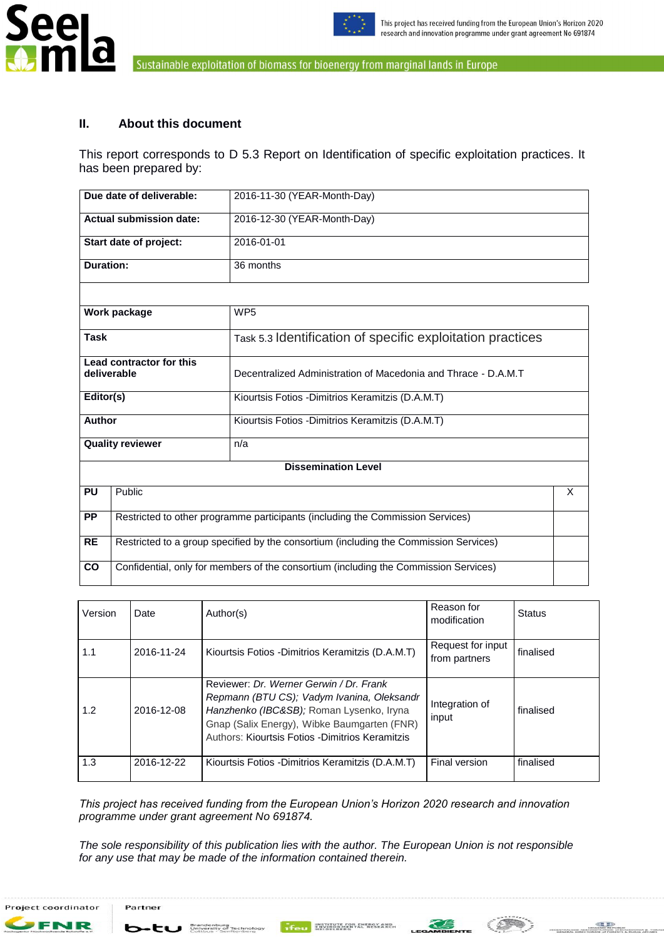



## <span id="page-3-0"></span>**II. About this document**

This report corresponds to D 5.3 Report on Identification of specific exploitation practices. It has been prepared by:

|                 | Due date of deliverable:<br>2016-11-30 (YEAR-Month-Day)                              |                                                                                       |  |  |  |  |  |  |
|-----------------|--------------------------------------------------------------------------------------|---------------------------------------------------------------------------------------|--|--|--|--|--|--|
|                 | <b>Actual submission date:</b><br>2016-12-30 (YEAR-Month-Day)                        |                                                                                       |  |  |  |  |  |  |
|                 | Start date of project:<br>2016-01-01                                                 |                                                                                       |  |  |  |  |  |  |
|                 | <b>Duration:</b><br>36 months                                                        |                                                                                       |  |  |  |  |  |  |
|                 |                                                                                      |                                                                                       |  |  |  |  |  |  |
|                 | Work package                                                                         | WP <sub>5</sub>                                                                       |  |  |  |  |  |  |
| <b>Task</b>     |                                                                                      | Task 5.3 Identification of specific exploitation practices                            |  |  |  |  |  |  |
| deliverable     | Lead contractor for this                                                             | Decentralized Administration of Macedonia and Thrace - D.A.M.T                        |  |  |  |  |  |  |
| Editor(s)       |                                                                                      | Kiourtsis Fotios - Dimitrios Keramitzis (D.A.M.T)                                     |  |  |  |  |  |  |
| <b>Author</b>   |                                                                                      | Kiourtsis Fotios - Dimitrios Keramitzis (D.A.M.T)                                     |  |  |  |  |  |  |
|                 | <b>Quality reviewer</b>                                                              | n/a                                                                                   |  |  |  |  |  |  |
|                 |                                                                                      | <b>Dissemination Level</b>                                                            |  |  |  |  |  |  |
| <b>PU</b>       | Public                                                                               |                                                                                       |  |  |  |  |  |  |
| <b>PP</b>       | Restricted to other programme participants (including the Commission Services)       |                                                                                       |  |  |  |  |  |  |
| <b>RE</b>       |                                                                                      | Restricted to a group specified by the consortium (including the Commission Services) |  |  |  |  |  |  |
| $\overline{co}$ | Confidential, only for members of the consortium (including the Commission Services) |                                                                                       |  |  |  |  |  |  |

| Version | Date       | Author(s)                                                                                                                                                                                                                            | Reason for<br>modification         | <b>Status</b> |
|---------|------------|--------------------------------------------------------------------------------------------------------------------------------------------------------------------------------------------------------------------------------------|------------------------------------|---------------|
| 1.1     | 2016-11-24 | Kiourtsis Fotios - Dimitrios Keramitzis (D.A.M.T)                                                                                                                                                                                    | Request for input<br>from partners | finalised     |
| 1.2     | 2016-12-08 | Reviewer: Dr. Werner Gerwin / Dr. Frank<br>Repmann (BTU CS); Vadym Ivanina, Oleksandr<br>Hanzhenko (IBC&SB); Roman Lysenko, Iryna<br>Gnap (Salix Energy), Wibke Baumgarten (FNR)<br>Authors: Kiourtsis Fotios - Dimitrios Keramitzis | Integration of<br>input            | finalised     |
| 1.3     | 2016-12-22 | Kiourtsis Fotios - Dimitrios Keramitzis (D.A.M.T)                                                                                                                                                                                    | Final version                      | finalised     |

*This project has received funding from the European Union's Horizon 2020 research and innovation programme under grant agreement No 691874.* 

*The sole responsibility of this publication lies with the author. The European Union is not responsible for any use that may be made of the information contained therein.*





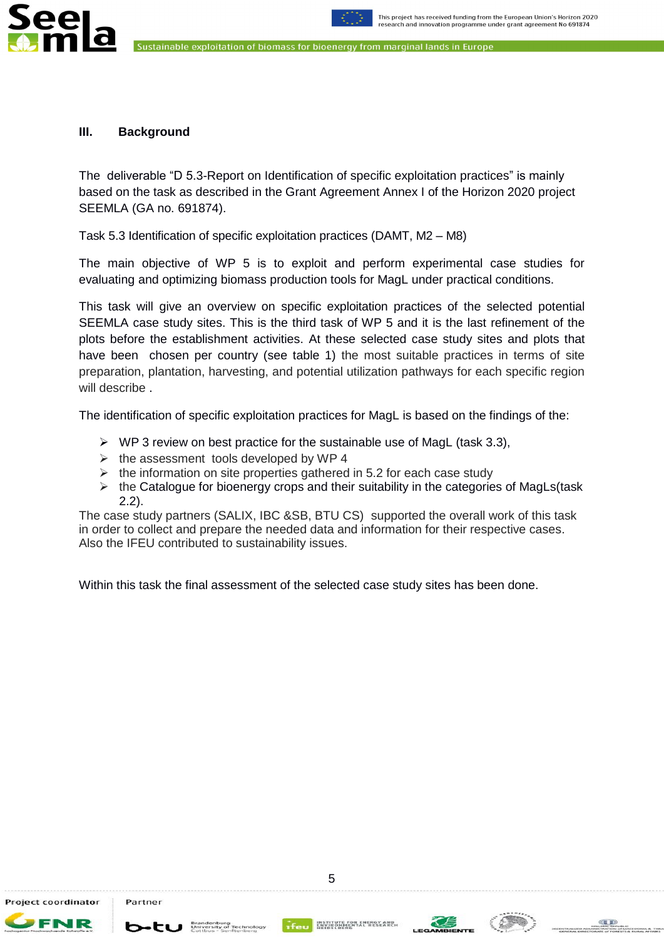



#### <span id="page-4-0"></span>**III. Background**

ee

The deliverable "D 5.3-Report on Identification of specific exploitation practices" is mainly based on the task as described in the Grant Agreement Annex I of the Horizon 2020 project SEEMLA (GA no. 691874).

Task 5.3 Identification of specific exploitation practices (DAMT, M2 – M8)

The main objective of WP 5 is to exploit and perform experimental case studies for evaluating and optimizing biomass production tools for MagL under practical conditions.

This task will give an overview on specific exploitation practices of the selected potential SEEMLA case study sites. This is the third task of WP 5 and it is the last refinement of the plots before the establishment activities. At these selected case study sites and plots that have been chosen per country (see table 1) the most suitable practices in terms of site preparation, plantation, harvesting, and potential utilization pathways for each specific region will describe .

The identification of specific exploitation practices for MagL is based on the findings of the:

- $\triangleright$  WP 3 review on best practice for the sustainable use of MagL (task 3.3),
- $\triangleright$  the assessment tools developed by WP 4
- $\triangleright$  the information on site properties gathered in 5.2 for each case study
- $\triangleright$  the Catalogue for bioenergy crops and their suitability in the categories of MagLs(task 2.2).

The case study partners (SALIX, IBC &SB, BTU CS) supported the overall work of this task in order to collect and prepare the needed data and information for their respective cases. Also the IFEU contributed to sustainability issues.

Within this task the final assessment of the selected case study sites has been done.

Project coordinator

 $b$ -tu Brandenbu



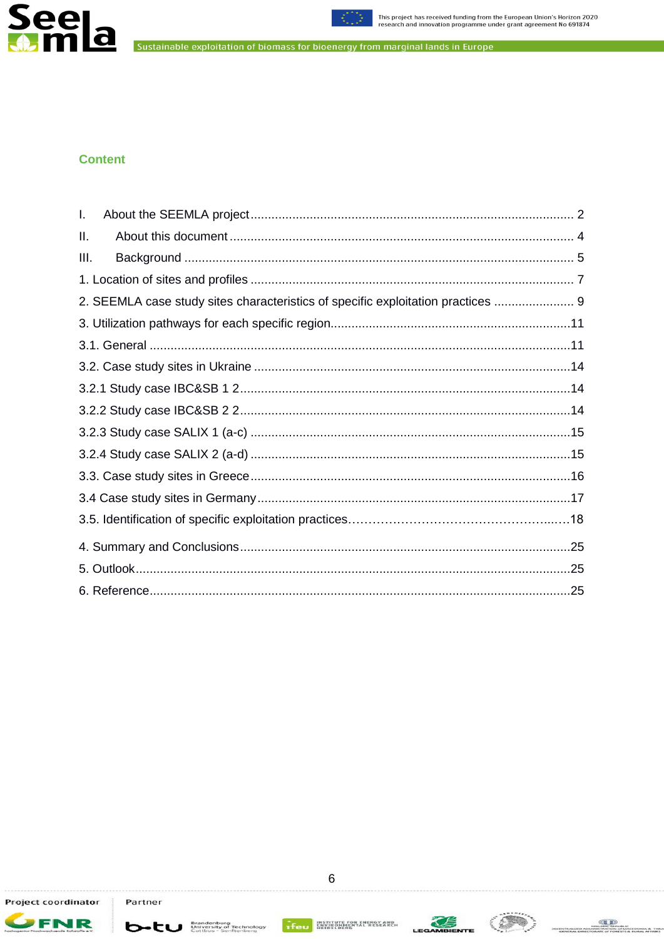



# **Content**

| L.                                                                               |  |
|----------------------------------------------------------------------------------|--|
| II.                                                                              |  |
| III.                                                                             |  |
|                                                                                  |  |
| 2. SEEMLA case study sites characteristics of specific exploitation practices  9 |  |
|                                                                                  |  |
|                                                                                  |  |
|                                                                                  |  |
|                                                                                  |  |
|                                                                                  |  |
|                                                                                  |  |
|                                                                                  |  |
|                                                                                  |  |
|                                                                                  |  |
|                                                                                  |  |
|                                                                                  |  |
|                                                                                  |  |
|                                                                                  |  |

**FNR** 

**b**-tu Brandenburg<br>Cottbus - Senftenberg



 $\left(\frac{1}{2}\right)$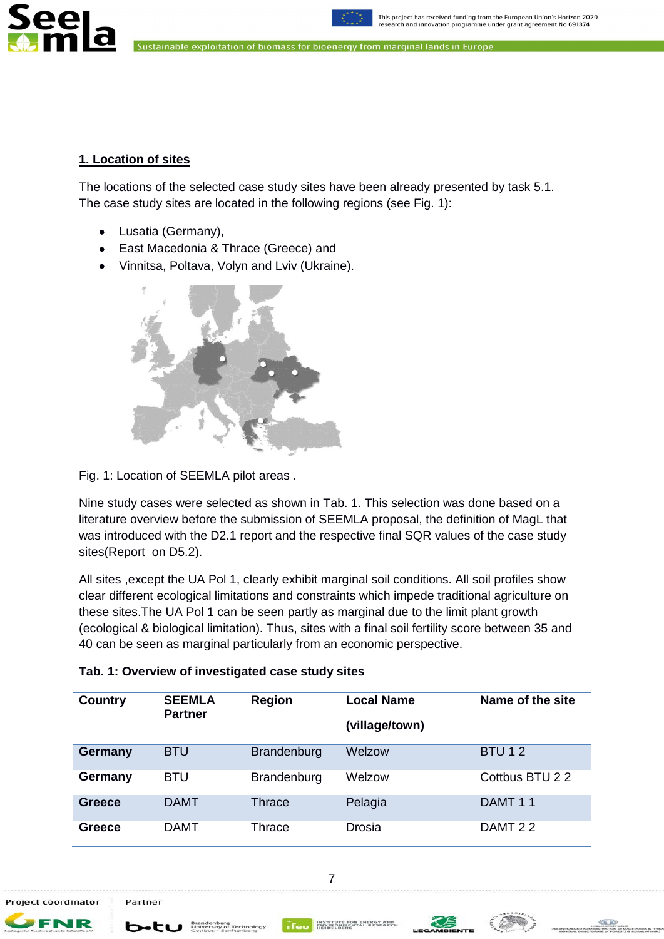



# <span id="page-6-0"></span>**1. Location of sites**

The locations of the selected case study sites have been already presented by task 5.1. The case study sites are located in the following regions (see Fig. 1):

- Lusatia (Germany),
- East Macedonia & Thrace (Greece) and
- Vinnitsa, Poltava, Volyn and Lviv (Ukraine).



Fig. 1: Location of SEEMLA pilot areas .

Nine study cases were selected as shown in Tab. 1. This selection was done based on a literature overview before the submission of SEEMLA proposal, the definition of MagL that was introduced with the D2.1 report and the respective final SQR values of the case study sites(Report on D5.2).

All sites ,except the UA Pol 1, clearly exhibit marginal soil conditions. All soil profiles show clear different ecological limitations and constraints which impede traditional agriculture on these sites.The UA Pol 1 can be seen partly as marginal due to the limit plant growth (ecological & biological limitation). Thus, sites with a final soil fertility score between 35 and 40 can be seen as marginal particularly from an economic perspective.

| Country        | <b>SEEMLA</b><br><b>Partner</b> | <b>Region</b> | Local Name     | Name of the site |
|----------------|---------------------------------|---------------|----------------|------------------|
|                |                                 |               | (village/town) |                  |
| <b>Germany</b> | <b>BTU</b>                      | Brandenburg   | Welzow         | <b>BTU12</b>     |
| Germany        | <b>BTU</b>                      | Brandenburg   | Welzow         | Cottbus BTU 2 2  |
| Greece         | <b>DAMT</b>                     | Thrace        | Pelagia        | DAMT 11          |
| Greece         | <b>DAMT</b>                     | Thrace        | Drosia         | DAMT 22          |

7

#### **Tab. 1: Overview of investigated case study sites**

Project coordinator

Partner

b•tu \*



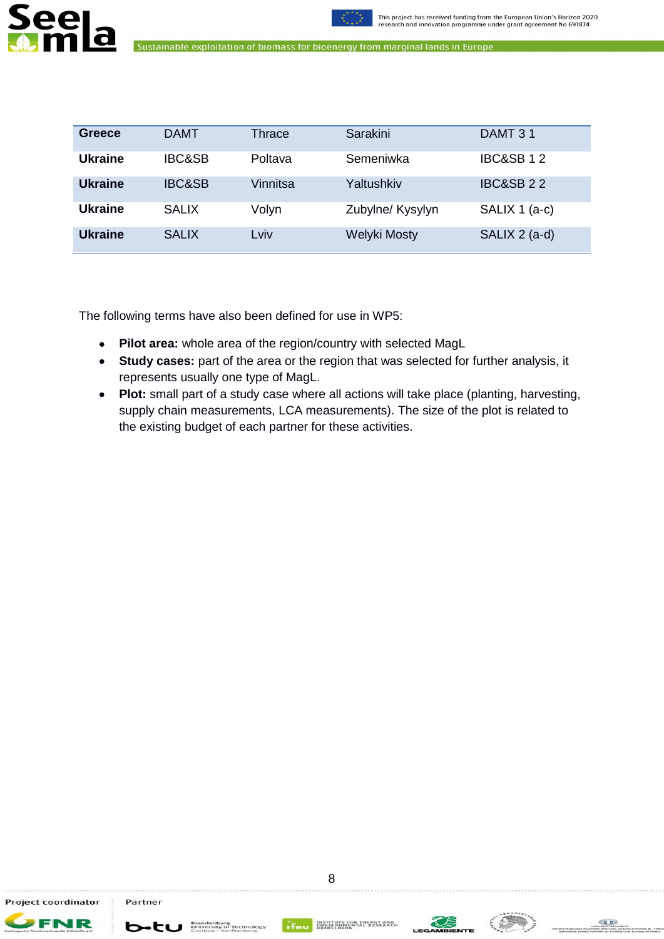



| Greece         | <b>DAMT</b>       | Thrace   | Sarakini         | DAMT 31              |
|----------------|-------------------|----------|------------------|----------------------|
| <b>Ukraine</b> | <b>IBC&amp;SB</b> | Poltava  | Semeniwka        | <b>IBC&amp;SB12</b>  |
| <b>Ukraine</b> | <b>IBC&amp;SB</b> | Vinnitsa | Yaltushkiv       | <b>IBC&amp;SB 22</b> |
| <b>Ukraine</b> | <b>SALIX</b>      | Volyn    | Zubylne/ Kysylyn | SALIX 1 (a-c)        |
| <b>Ukraine</b> | <b>SALIX</b>      | Lviv     | Welyki Mosty     | SALIX 2 (a-d)        |

The following terms have also been defined for use in WP5:

- **Pilot area:** whole area of the region/country with selected MagL
- **Study cases:** part of the area or the region that was selected for further analysis, it represents usually one type of MagL.
- **Plot:** small part of a study case where all actions will take place (planting, harvesting, supply chain measurements, LCA measurements). The size of the plot is related to the existing budget of each partner for these activities.

Project coordinator

FNR

**b**-tu **Brandenburg** 



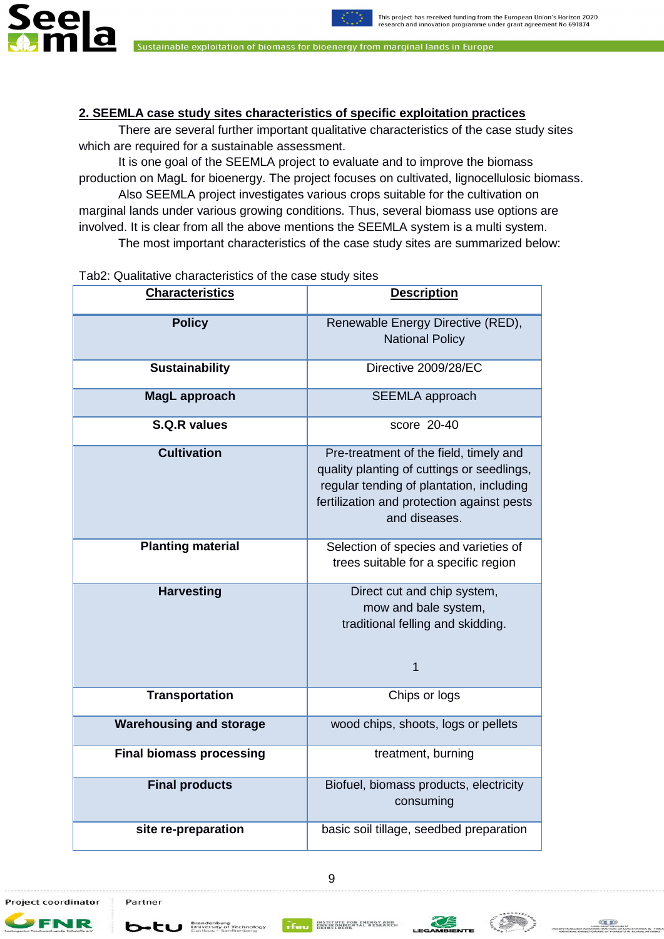



## <span id="page-8-0"></span>**2. SEEMLA case study sites characteristics of specific exploitation practices**

There are several further important qualitative characteristics of the case study sites which are required for a sustainable assessment.

It is one goal of the SEEMLA project to evaluate and to improve the biomass production on MagL for bioenergy. The project focuses on cultivated, lignocellulosic biomass. Also SEEMLA project investigates various crops suitable for the cultivation on marginal lands under various growing conditions. Thus, several biomass use options are involved. It is clear from all the above mentions the SEEMLA system is a multi system. The most important characteristics of the case study sites are summarized below:

#### Tab2: Qualitative characteristics of the case study sites

| <b>Characteristics</b>          | <b>Description</b>                                                                                                                                                                              |
|---------------------------------|-------------------------------------------------------------------------------------------------------------------------------------------------------------------------------------------------|
| <b>Policy</b>                   | Renewable Energy Directive (RED),<br><b>National Policy</b>                                                                                                                                     |
| <b>Sustainability</b>           | Directive 2009/28/EC                                                                                                                                                                            |
| MagL approach                   | <b>SEEMLA</b> approach                                                                                                                                                                          |
| <b>S.Q.R values</b>             | score 20-40                                                                                                                                                                                     |
| <b>Cultivation</b>              | Pre-treatment of the field, timely and<br>quality planting of cuttings or seedlings,<br>regular tending of plantation, including<br>fertilization and protection against pests<br>and diseases. |
| <b>Planting material</b>        | Selection of species and varieties of<br>trees suitable for a specific region                                                                                                                   |
| <b>Harvesting</b>               | Direct cut and chip system,<br>mow and bale system,<br>traditional felling and skidding.<br>$\mathbf 1$                                                                                         |
| <b>Transportation</b>           | Chips or logs                                                                                                                                                                                   |
| <b>Warehousing and storage</b>  | wood chips, shoots, logs or pellets                                                                                                                                                             |
| <b>Final biomass processing</b> | treatment, burning                                                                                                                                                                              |
| <b>Final products</b>           | Biofuel, biomass products, electricity<br>consuming                                                                                                                                             |
| site re-preparation             | basic soil tillage, seedbed preparation                                                                                                                                                         |

Project coordinator

FNR

Partner

**b**-tu **Brandenburg** 

INSTITUTE FOR EN



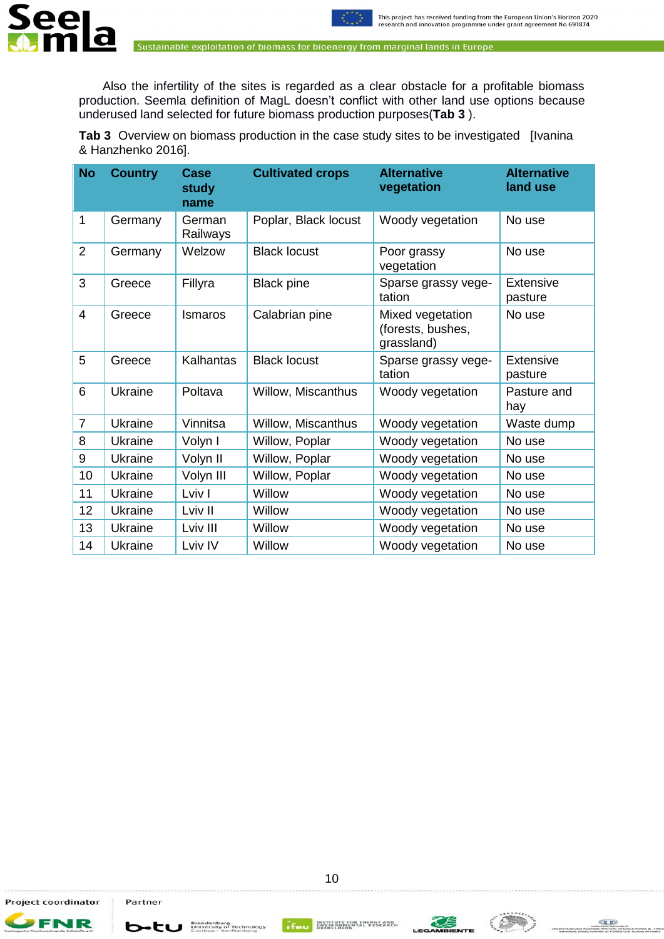

Also the infertility of the sites is regarded as a clear obstacle for a profitable biomass production. Seemla definition of MagL doesn"t conflict with other land use options because underused land selected for future biomass production purposes(**Tab 3** ).

**Tab 3** Overview on biomass production in the case study sites to be investigated [Ivanina & Hanzhenko 2016].

| <b>No</b>      | <b>Country</b> | Case<br>study<br>name | <b>Cultivated crops</b> | <b>Alternative</b><br>vegetation                    | <b>Alternative</b><br>land use |
|----------------|----------------|-----------------------|-------------------------|-----------------------------------------------------|--------------------------------|
| 1              | Germany        | German<br>Railways    | Poplar, Black locust    | Woody vegetation                                    | No use                         |
| $\overline{2}$ | Germany        | Welzow                | <b>Black locust</b>     | Poor grassy<br>vegetation                           | No use                         |
| 3              | Greece         | Fillyra               | <b>Black pine</b>       | Sparse grassy vege-<br>tation                       | <b>Extensive</b><br>pasture    |
| $\overline{4}$ | Greece         | Ismaros               | Calabrian pine          | Mixed vegetation<br>(forests, bushes,<br>grassland) | No use                         |
| 5              | Greece         | Kalhantas             | <b>Black locust</b>     | Sparse grassy vege-<br>tation                       | Extensive<br>pasture           |
| 6              | Ukraine        | Poltava               | Willow, Miscanthus      | Woody vegetation                                    | Pasture and<br>hay             |
| $\overline{7}$ | Ukraine        | Vinnitsa              | Willow, Miscanthus      | Woody vegetation                                    | Waste dump                     |
| 8              | Ukraine        | Volyn I               | Willow, Poplar          | Woody vegetation                                    | No use                         |
| 9              | Ukraine        | Volyn II              | Willow, Poplar          | Woody vegetation                                    | No use                         |
| 10             | Ukraine        | Volyn III             | Willow, Poplar          | Woody vegetation                                    | No use                         |
| 11             | Ukraine        | Lviv I                | Willow                  | Woody vegetation                                    | No use                         |
| 12             | Ukraine        | Lviv II               | Willow                  | Woody vegetation                                    | No use                         |
| 13             | Ukraine        | Lviv III              | Willow                  | Woody vegetation                                    | No use                         |
| 14             | Ukraine        | Lviv IV               | Willow                  | Woody vegetation                                    | No use                         |

Project coordinator

J R

FR

**b**-tu **Brandenburg** 

INSTITUTE FOR EN<br>ENVIRONMENTAL<br>HEIDELBERG



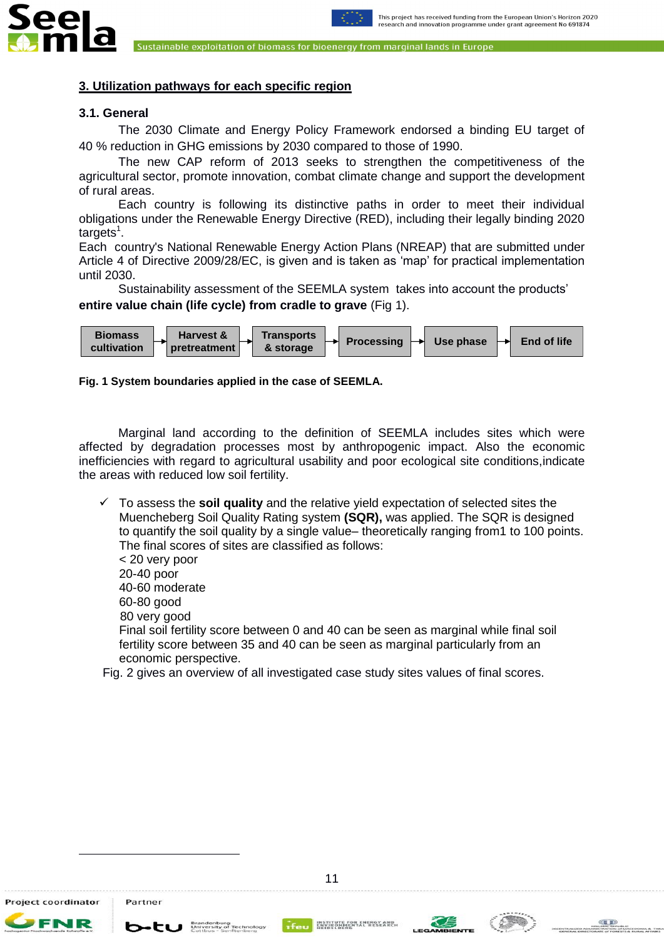



### <span id="page-10-0"></span>**3. Utilization pathways for each specific region**

#### <span id="page-10-1"></span>**3.1. General**

The 2030 Climate and Energy Policy Framework endorsed a binding EU target of 40 % reduction in GHG emissions by 2030 compared to those of 1990.

The new CAP reform of 2013 seeks to strengthen the competitiveness of the agricultural sector, promote innovation, combat climate change and support the development of rural areas.

Each country is following its distinctive paths in order to meet their individual obligations under the Renewable Energy Directive (RED), including their legally binding 2020 targets<sup>1</sup>.

Each country's National Renewable Energy Action Plans (NREAP) that are submitted under Article 4 of Directive 2009/28/EC, is given and is taken as "map" for practical implementation until 2030.

Sustainability assessment of the SEEMLA system takes into account the products" **entire value chain (life cycle) from cradle to grave** (Fig 1).



#### **Fig. 1 System boundaries applied in the case of SEEMLA.**

Marginal land according to the definition of SEEMLA includes sites which were affected by degradation processes most by anthropogenic impact. Also the economic inefficiencies with regard to agricultural usability and poor ecological site conditions,indicate the areas with reduced low soil fertility.

 To assess the **soil quality** and the relative yield expectation of selected sites the Muencheberg Soil Quality Rating system **(SQR),** was applied. The SQR is designed to quantify the soil quality by a single value– theoretically ranging from1 to 100 points. The final scores of sites are classified as follows: < 20 very poor

20-40 poor

40-60 moderate

60-80 good

80 very good

Final soil fertility score between 0 and 40 can be seen as marginal while final soil fertility score between 35 and 40 can be seen as marginal particularly from an economic perspective.

Fig. 2 gives an overview of all investigated case study sites values of final scores.

Project coordinator

1

Partner

 $b$ -tu  $\frac{Branchb}{Uniformity}$ 

INSTITUTE FOR EN



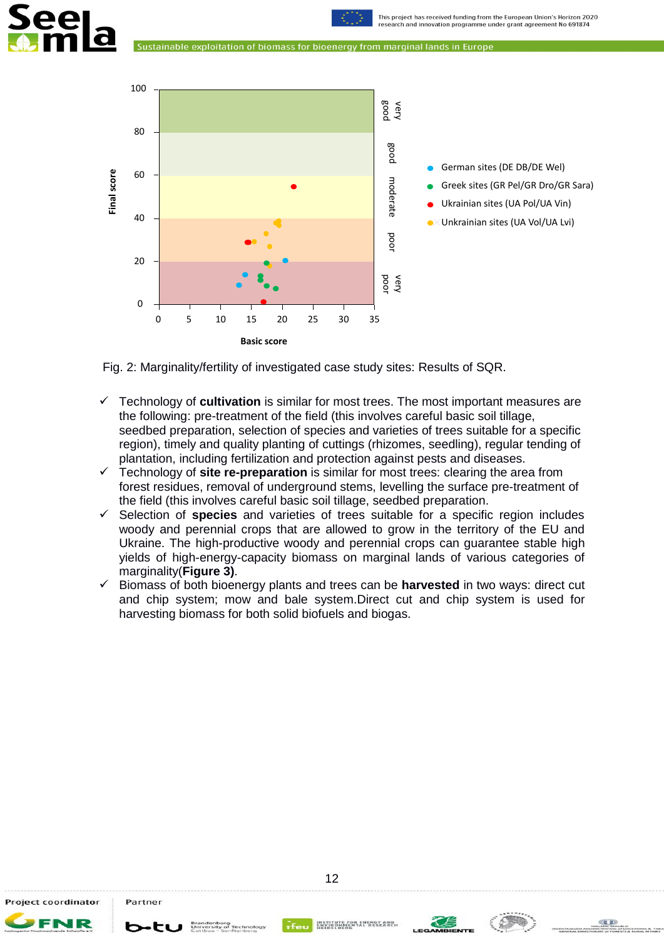



Fig. 2: Marginality/fertility of investigated case study sites: Results of SQR.

- Technology of **cultivation** is similar for most trees. The most important measures are the following: pre-treatment of the field (this involves careful basic soil tillage, seedbed preparation, selection of species and varieties of trees suitable for a specific region), timely and quality planting of cuttings (rhizomes, seedling), regular tending of plantation, including fertilization and protection against pests and diseases.
- Technology of **site re-preparation** is similar for most trees: clearing the area from forest residues, removal of underground stems, levelling the surface pre-treatment of the field (this involves careful basic soil tillage, seedbed preparation.
- $\checkmark$  Selection of **species** and varieties of trees suitable for a specific region includes woody and perennial crops that are allowed to grow in the territory of the EU and Ukraine. The high-productive woody and perennial crops can guarantee stable high yields of high-energy-capacity biomass on marginal lands of various categories of marginality(**Figure 3)**.
- $\checkmark$  Biomass of both bioenergy plants and trees can be **harvested** in two ways: direct cut and chip system; mow and bale system.Direct cut and chip system is used for harvesting biomass for both solid biofuels and biogas.

Project coordinator

b+tu



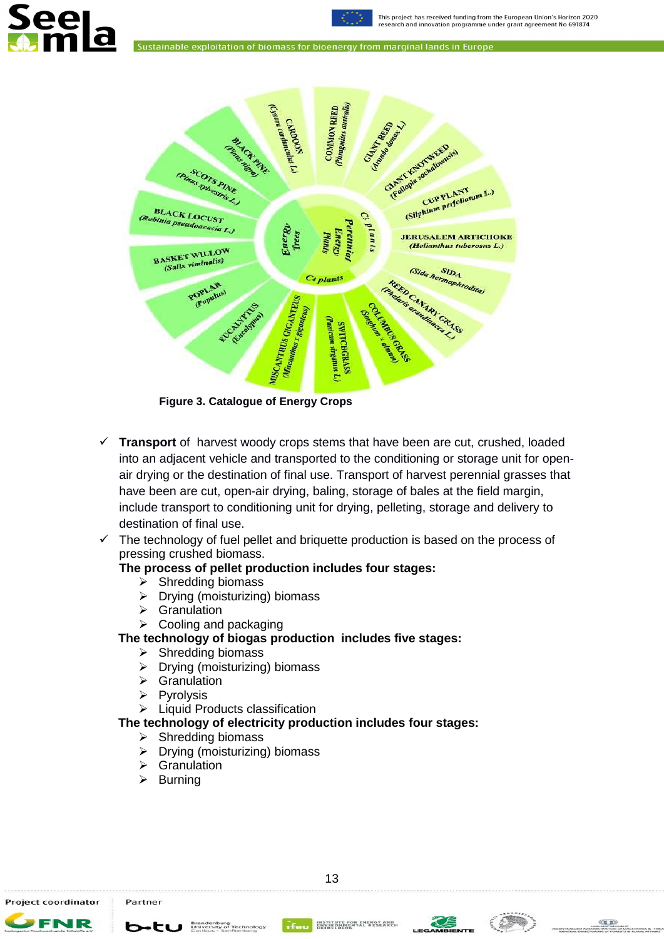This project has received funding from the European Union's Horizon 2020 research and innovation programme under grant agreement No 691874





**Figure 3. Catalogue of Energy Crops**

- **Transport** of harvest woody crops stems that have been are cut, crushed, loaded into an adjacent vehicle and transported to the conditioning or storage unit for openair drying or the destination of final use. Transport of harvest perennial grasses that have been are cut, open-air drying, baling, storage of bales at the field margin, include transport to conditioning unit for drying, pelleting, storage and delivery to destination of final use.
- $\checkmark$  The technology of fuel pellet and briquette production is based on the process of pressing crushed biomass.

# **The process of pellet production includes four stages:**

- $\triangleright$  Shredding biomass
- $\triangleright$  Drying (moisturizing) biomass
- Granulation
- $\triangleright$  Cooling and packaging

## **The technology of biogas production includes five stages:**

- $\triangleright$  Shredding biomass
- $\triangleright$  Drying (moisturizing) biomass
- $\triangleright$  Granulation
- $\triangleright$  Pyrolysis
- > Liquid Products classification
- **The technology of electricity production includes four stages:**

#### $\triangleright$  Shredding biomass

**b**-tu Brandenburg Technology

- $\triangleright$  Drying (moisturizing) biomass
- Granulation
- $\triangleright$  Burning

Project coordinator FNR

Partner



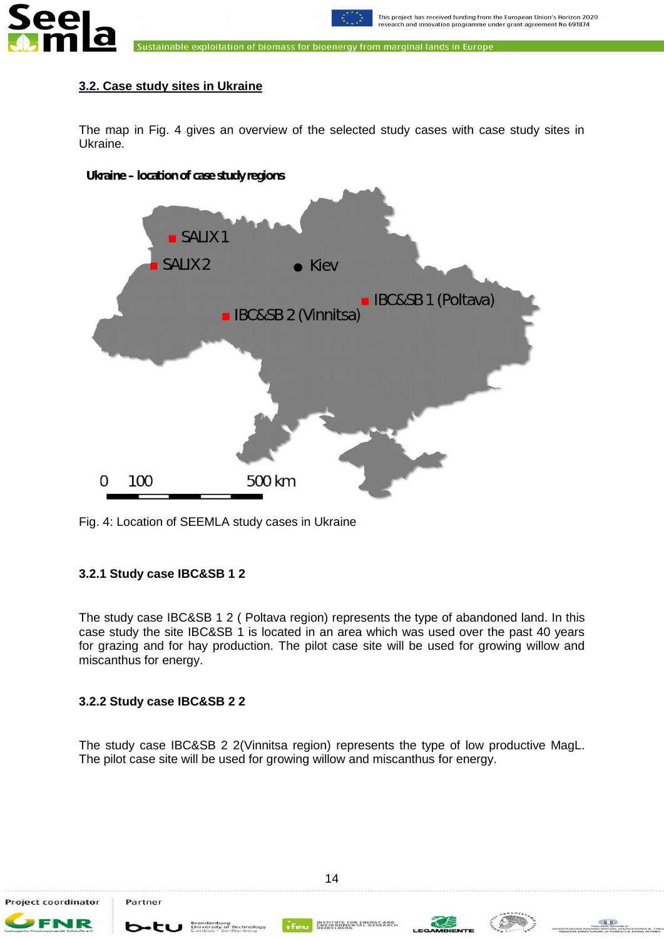



## <span id="page-13-0"></span>**3.2. Case study sites in Ukraine**

The map in Fig. 4 gives an overview of the selected study cases with case study sites in Ukraine.



Fig. 4: Location of SEEMLA study cases in Ukraine

## <span id="page-13-1"></span>**3.2.1 Study case IBC&SB 1 2**

The study case IBC&SB 1 2 ( Poltava region) represents the type of abandoned land. In this case study the site IBC&SB 1 is located in an area which was used over the past 40 years for grazing and for hay production. The pilot case site will be used for growing willow and miscanthus for energy.

## <span id="page-13-2"></span>**3.2.2 Study case IBC&SB 2 2**

The study case IBC&SB 2 2(Vinnitsa region) represents the type of low productive MagL. The pilot case site will be used for growing willow and miscanthus for energy.

JR

b-tu

INSTITUTE FOR EN<br>ENVIRONMENTAL<br>HEIDELBERG



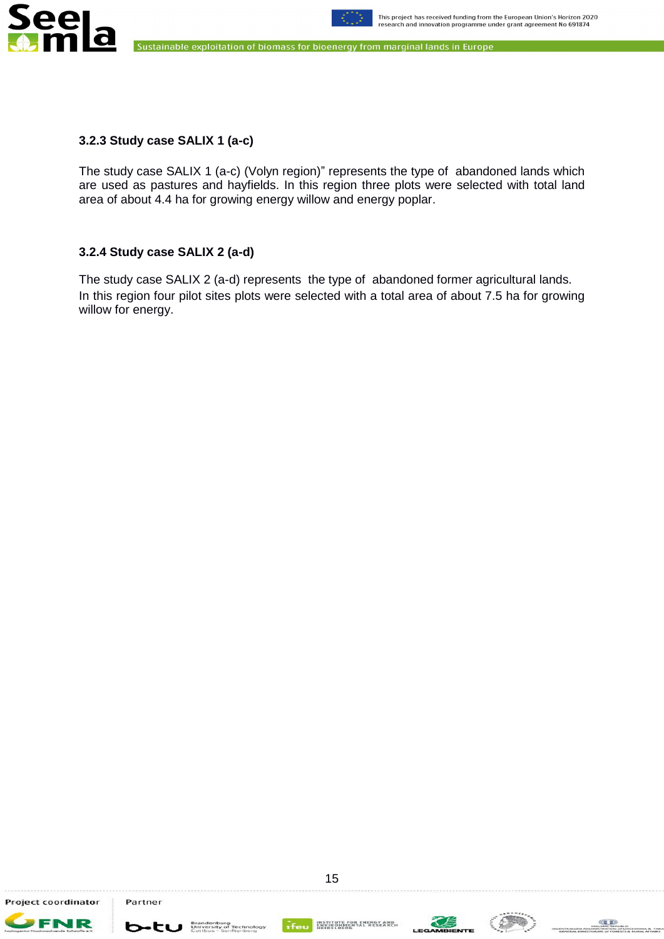



# <span id="page-14-0"></span>**3.2.3 Study case SALIX 1 (a-c)**

The study case SALIX 1 (a-c) (Volyn region)" represents the type of abandoned lands which are used as pastures and hayfields. In this region three plots were selected with total land area of about 4.4 ha for growing energy willow and energy poplar.

# <span id="page-14-1"></span>**3.2.4 Study case SALIX 2 (a-d)**

The study case SALIX 2 (a-d) represents the type of abandoned former agricultural lands. In this region four pilot sites plots were selected with a total area of about 7.5 ha for growing willow for energy.



**FNR** 

**b**-tu **Brandenburg** 



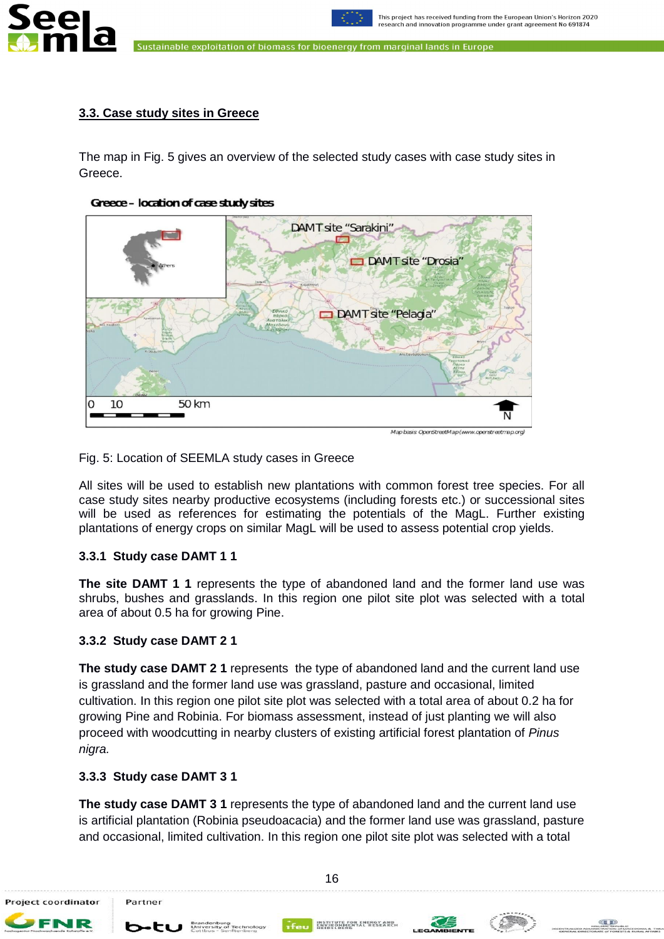



#### <span id="page-15-0"></span>**3.3. Case study sites in Greece**

The map in Fig. 5 gives an overview of the selected study cases with case study sites in Greece.





Map basis OpenStreetMap (www.openstreetmap.org)

#### Fig. 5: Location of SEEMLA study cases in Greece

All sites will be used to establish new plantations with common forest tree species. For all case study sites nearby productive ecosystems (including forests etc.) or successional sites will be used as references for estimating the potentials of the MagL. Further existing plantations of energy crops on similar MagL will be used to assess potential crop yields.

#### **3.3.1 Study case DAMT 1 1**

**The site DAMT 1 1** represents the type of abandoned land and the former land use was shrubs, bushes and grasslands. In this region one pilot site plot was selected with a total area of about 0.5 ha for growing Pine.

#### **3.3.2 Study case DAMT 2 1**

**The study case DAMT 2 1** represents the type of abandoned land and the current land use is grassland and the former land use was grassland, pasture and occasional, limited cultivation. In this region one pilot site plot was selected with a total area of about 0.2 ha for growing Pine and Robinia. For biomass assessment, instead of just planting we will also proceed with woodcutting in nearby clusters of existing artificial forest plantation of *Pinus nigra.*

### **3.3.3 Study case DAMT 3 1**

**The study case DAMT 3 1** represents the type of abandoned land and the current land use is artificial plantation (Robinia pseudoacacia) and the former land use was grassland, pasture and occasional, limited cultivation. In this region one pilot site plot was selected with a total

Project coordinator

b-tu \*

Partner





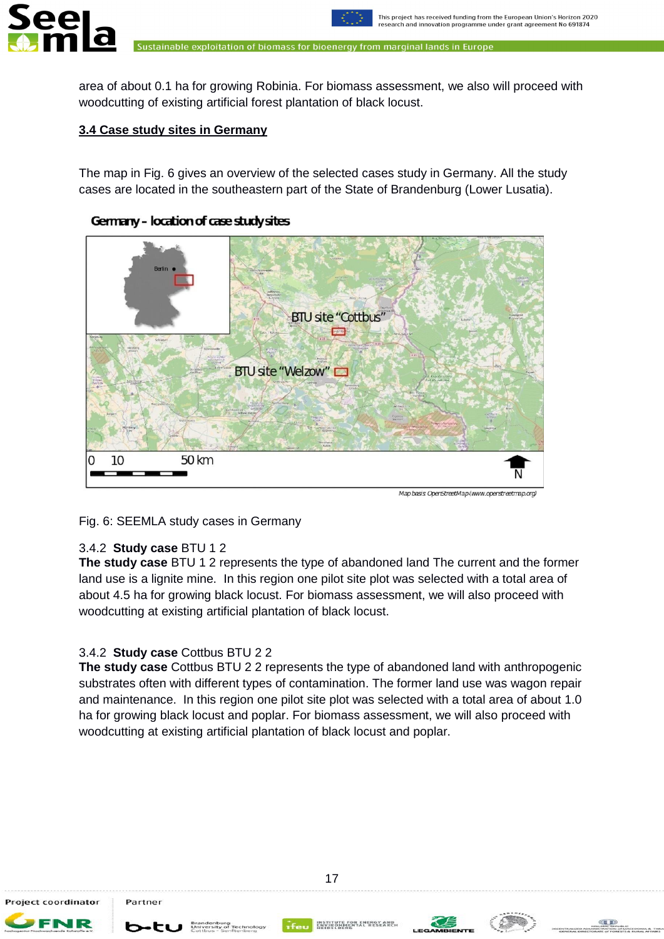

area of about 0.1 ha for growing Robinia. For biomass assessment, we also will proceed with woodcutting of existing artificial forest plantation of black locust.

# <span id="page-16-0"></span>**3.4 Case study sites in Germany**

iee

The map in Fig. 6 gives an overview of the selected cases study in Germany. All the study cases are located in the southeastern part of the State of Brandenburg (Lower Lusatia).



# Germany - location of case study sites

Map basis OpenStreetMap (www.openstreetmap.org)

# Fig. 6: SEEMLA study cases in Germany

# 3.4.2 **Study case** BTU 1 2

**The study case** BTU 1 2 represents the type of abandoned land The current and the former land use is a lignite mine. In this region one pilot site plot was selected with a total area of about 4.5 ha for growing black locust. For biomass assessment, we will also proceed with woodcutting at existing artificial plantation of black locust.

# 3.4.2 **Study case** Cottbus BTU 2 2

**The study case** Cottbus BTU 2 2 represents the type of abandoned land with anthropogenic substrates often with different types of contamination. The former land use was wagon repair and maintenance. In this region one pilot site plot was selected with a total area of about 1.0 ha for growing black locust and poplar. For biomass assessment, we will also proceed with woodcutting at existing artificial plantation of black locust and poplar.

Project coordinator

Partner

b-tu \*





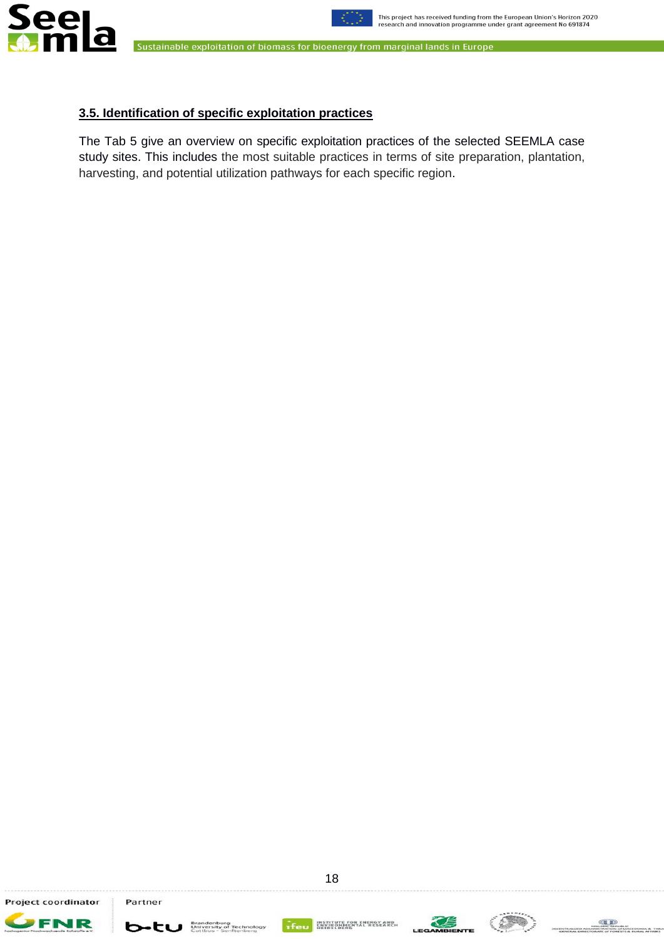



### **3.5. Identification of specific exploitation practices**

The Tab 5 give an overview on specific exploitation practices of the selected SEEMLA case study sites. This includes the most suitable practices in terms of site preparation, plantation, harvesting, and potential utilization pathways for each specific region.

Project coordinator

FNR



b-tu **Experience** 



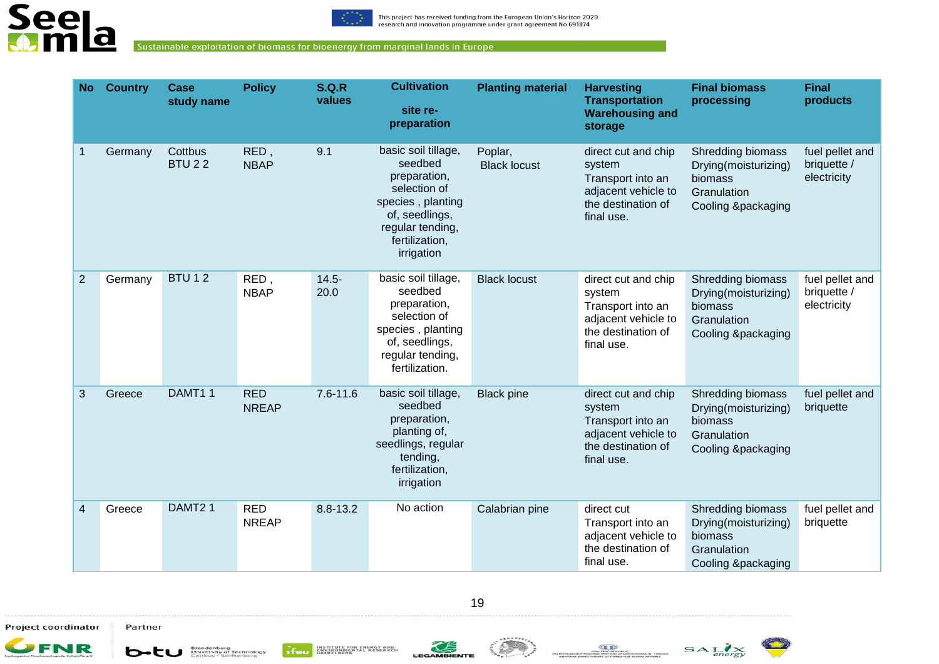



| <b>No</b>    | <b>Country</b> | Case<br>study name       | <b>Policy</b>              | <b>S.Q.R</b><br>values | <b>Cultivation</b><br>site re-<br>preparation                                                                                                             | <b>Planting material</b>       | <b>Harvesting</b><br><b>Transportation</b><br><b>Warehousing and</b><br>storage                               | <b>Final biomass</b><br>processing                                                        | <b>Final</b><br>products                      |
|--------------|----------------|--------------------------|----------------------------|------------------------|-----------------------------------------------------------------------------------------------------------------------------------------------------------|--------------------------------|---------------------------------------------------------------------------------------------------------------|-------------------------------------------------------------------------------------------|-----------------------------------------------|
| $\mathbf{1}$ | Germany        | Cottbus<br><b>BTU 22</b> | RED,<br><b>NBAP</b>        | 9.1                    | basic soil tillage,<br>seedbed<br>preparation,<br>selection of<br>species, planting<br>of, seedlings,<br>regular tending,<br>fertilization,<br>irrigation | Poplar,<br><b>Black locust</b> | direct cut and chip<br>system<br>Transport into an<br>adjacent vehicle to<br>the destination of<br>final use. | Shredding biomass<br>Drying(moisturizing)<br>biomass<br>Granulation<br>Cooling &packaging | fuel pellet and<br>briquette /<br>electricity |
| 2            | Germany        | <b>BTU12</b>             | RED,<br><b>NBAP</b>        | $14.5 -$<br>20.0       | basic soil tillage,<br>seedbed<br>preparation,<br>selection of<br>species, planting<br>of, seedlings,<br>regular tending,<br>fertilization.               | <b>Black locust</b>            | direct cut and chip<br>system<br>Transport into an<br>adjacent vehicle to<br>the destination of<br>final use. | Shredding biomass<br>Drying(moisturizing)<br>biomass<br>Granulation<br>Cooling &packaging | fuel pellet and<br>briquette /<br>electricity |
| 3            | Greece         | DAMT11                   | <b>RED</b><br><b>NREAP</b> | $7.6 - 11.6$           | basic soil tillage,<br>seedbed<br>preparation,<br>planting of,<br>seedlings, regular<br>tending,<br>fertilization,<br>irrigation                          | <b>Black pine</b>              | direct cut and chip<br>system<br>Transport into an<br>adjacent vehicle to<br>the destination of<br>final use. | Shredding biomass<br>Drying(moisturizing)<br>biomass<br>Granulation<br>Cooling &packaging | fuel pellet and<br>briquette                  |
| 4            | Greece         | DAMT21                   | <b>RED</b><br><b>NREAP</b> | 8.8-13.2               | No action                                                                                                                                                 | Calabrian pine                 | direct cut<br>Transport into an<br>adjacent vehicle to<br>the destination of<br>final use.                    | Shredding biomass<br>Drying(moisturizing)<br>biomass<br>Granulation<br>Cooling &packaging | fuel pellet and<br>briquette                  |

19

Project coordinator Partner







**DEDONAL & THRACE**<br>RURAL AREABS



 $\bullet$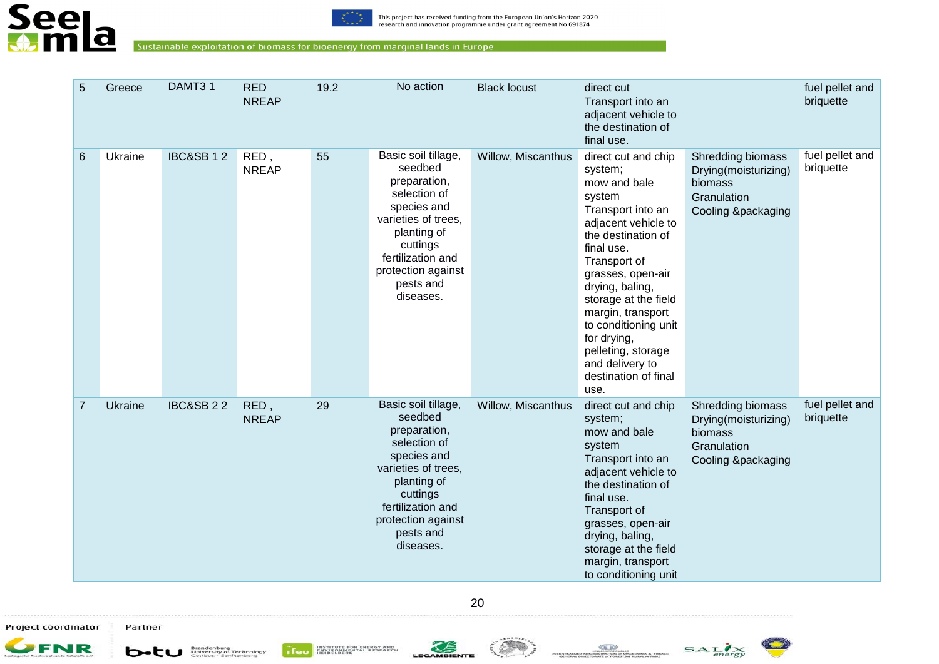



| 5              | Greece  | DAMT31               | <b>RED</b><br><b>NREAP</b> | 19.2 | No action                                                                                                                                                                                            | <b>Black locust</b> | direct cut<br>Transport into an<br>adjacent vehicle to<br>the destination of<br>final use.                                                                                                                                                                                                                                                                    |                                                                                                  | fuel pellet and<br>briquette |
|----------------|---------|----------------------|----------------------------|------|------------------------------------------------------------------------------------------------------------------------------------------------------------------------------------------------------|---------------------|---------------------------------------------------------------------------------------------------------------------------------------------------------------------------------------------------------------------------------------------------------------------------------------------------------------------------------------------------------------|--------------------------------------------------------------------------------------------------|------------------------------|
| 6              | Ukraine | <b>IBC&amp;SB12</b>  | RED,<br><b>NREAP</b>       | 55   | Basic soil tillage,<br>seedbed<br>preparation,<br>selection of<br>species and<br>varieties of trees,<br>planting of<br>cuttings<br>fertilization and<br>protection against<br>pests and<br>diseases. | Willow, Miscanthus  | direct cut and chip<br>system;<br>mow and bale<br>system<br>Transport into an<br>adjacent vehicle to<br>the destination of<br>final use.<br>Transport of<br>grasses, open-air<br>drying, baling,<br>storage at the field<br>margin, transport<br>to conditioning unit<br>for drying,<br>pelleting, storage<br>and delivery to<br>destination of final<br>use. | <b>Shredding biomass</b><br>Drying(moisturizing)<br>biomass<br>Granulation<br>Cooling &packaging | fuel pellet and<br>briquette |
| $\overline{7}$ | Ukraine | <b>IBC&amp;SB 22</b> | RED,<br><b>NREAP</b>       | 29   | Basic soil tillage,<br>seedbed<br>preparation,<br>selection of<br>species and<br>varieties of trees,<br>planting of<br>cuttings<br>fertilization and<br>protection against<br>pests and<br>diseases. | Willow, Miscanthus  | direct cut and chip<br>system;<br>mow and bale<br>system<br>Transport into an<br>adjacent vehicle to<br>the destination of<br>final use.<br>Transport of<br>grasses, open-air<br>drying, baling,<br>storage at the field<br>margin, transport<br>to conditioning unit                                                                                         | Shredding biomass<br>Drying(moisturizing)<br>biomass<br>Granulation<br>Cooling &packaging        | fuel pellet and<br>briquette |

20

Project coordinator Partner







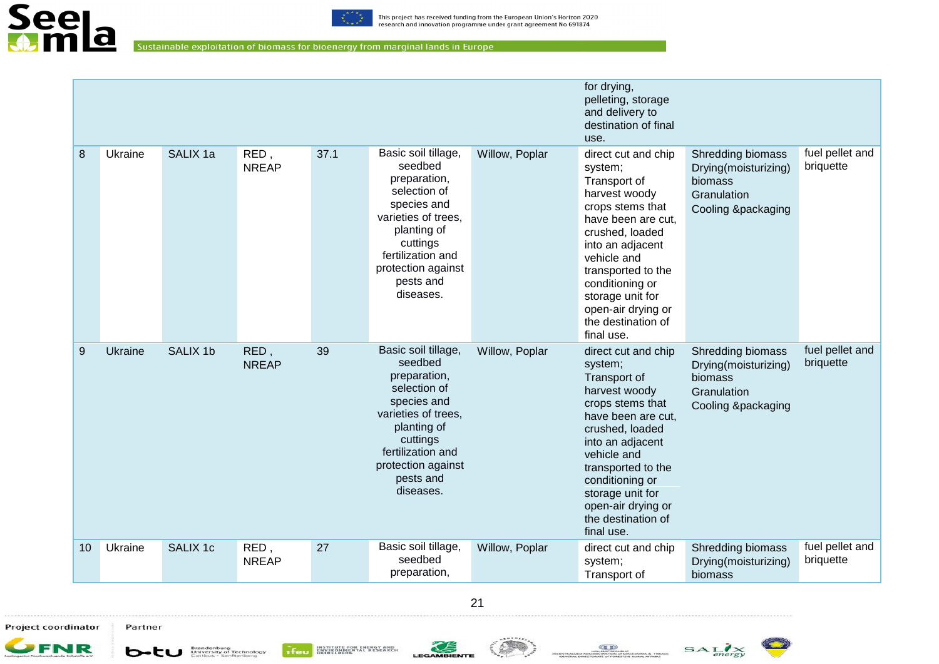

|       |                |          |                      |      |                                                                                                                                                                                                      |                | for drying,<br>pelleting, storage<br>and delivery to<br>destination of final<br>use.                                                                                                                                                                                                   |                                                                                           |                              |
|-------|----------------|----------|----------------------|------|------------------------------------------------------------------------------------------------------------------------------------------------------------------------------------------------------|----------------|----------------------------------------------------------------------------------------------------------------------------------------------------------------------------------------------------------------------------------------------------------------------------------------|-------------------------------------------------------------------------------------------|------------------------------|
| 8     | Ukraine        | SALIX 1a | RED,<br><b>NREAP</b> | 37.1 | Basic soil tillage,<br>seedbed<br>preparation,<br>selection of<br>species and<br>varieties of trees,<br>planting of<br>cuttings<br>fertilization and<br>protection against<br>pests and<br>diseases. | Willow, Poplar | direct cut and chip<br>system;<br>Transport of<br>harvest woody<br>crops stems that<br>have been are cut,<br>crushed, loaded<br>into an adjacent<br>vehicle and<br>transported to the<br>conditioning or<br>storage unit for<br>open-air drying or<br>the destination of<br>final use. | Shredding biomass<br>Drying(moisturizing)<br>biomass<br>Granulation<br>Cooling &packaging | fuel pellet and<br>briquette |
| $9\,$ | <b>Ukraine</b> | SALIX 1b | RED,<br><b>NREAP</b> | 39   | Basic soil tillage,<br>seedbed<br>preparation,<br>selection of<br>species and<br>varieties of trees,<br>planting of<br>cuttings<br>fertilization and<br>protection against<br>pests and<br>diseases. | Willow, Poplar | direct cut and chip<br>system;<br>Transport of<br>harvest woody<br>crops stems that<br>have been are cut,<br>crushed, loaded<br>into an adjacent<br>vehicle and<br>transported to the<br>conditioning or<br>storage unit for<br>open-air drying or<br>the destination of<br>final use. | Shredding biomass<br>Drying(moisturizing)<br>biomass<br>Granulation<br>Cooling &packaging | fuel pellet and<br>briquette |
| 10    | Ukraine        | SALIX 1c | RED,<br><b>NREAP</b> | 27   | Basic soil tillage,<br>seedbed<br>preparation,                                                                                                                                                       | Willow, Poplar | direct cut and chip<br>system;<br>Transport of                                                                                                                                                                                                                                         | Shredding biomass<br>Drying(moisturizing)<br>biomass                                      | fuel pellet and<br>briquette |



Project coordinator



Partner







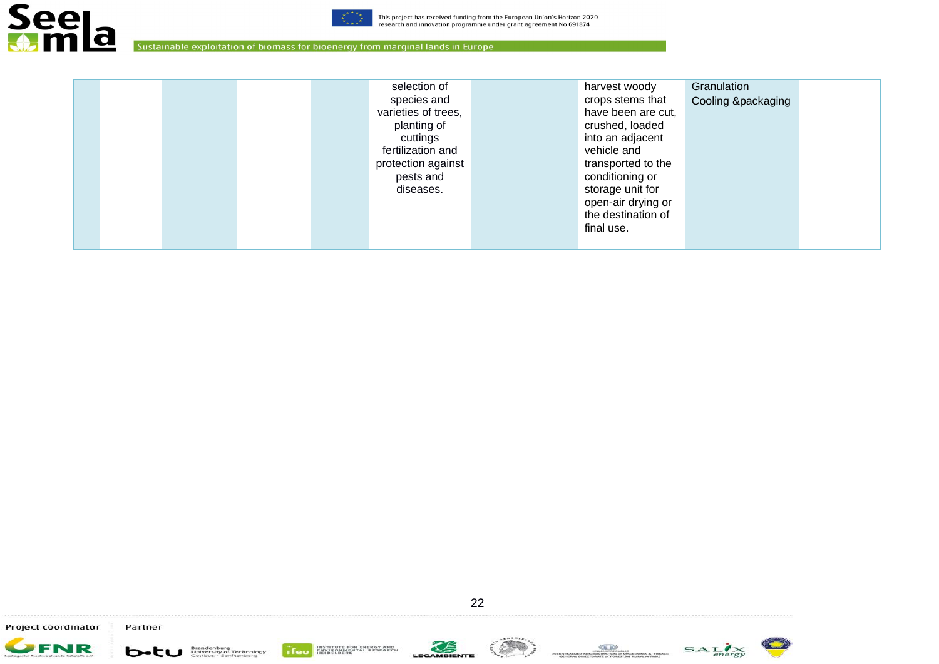



|  |  | selection of        | harvest woody      | Granulation        |
|--|--|---------------------|--------------------|--------------------|
|  |  | species and         | crops stems that   | Cooling &packaging |
|  |  | varieties of trees, | have been are cut, |                    |
|  |  | planting of         | crushed, loaded    |                    |
|  |  | cuttings            | into an adjacent   |                    |
|  |  | fertilization and   | vehicle and        |                    |
|  |  | protection against  | transported to the |                    |
|  |  | pests and           | conditioning or    |                    |
|  |  | diseases.           | storage unit for   |                    |
|  |  |                     | open-air drying or |                    |
|  |  |                     | the destination of |                    |
|  |  |                     | final use.         |                    |
|  |  |                     |                    |                    |

Project coordinator Partner













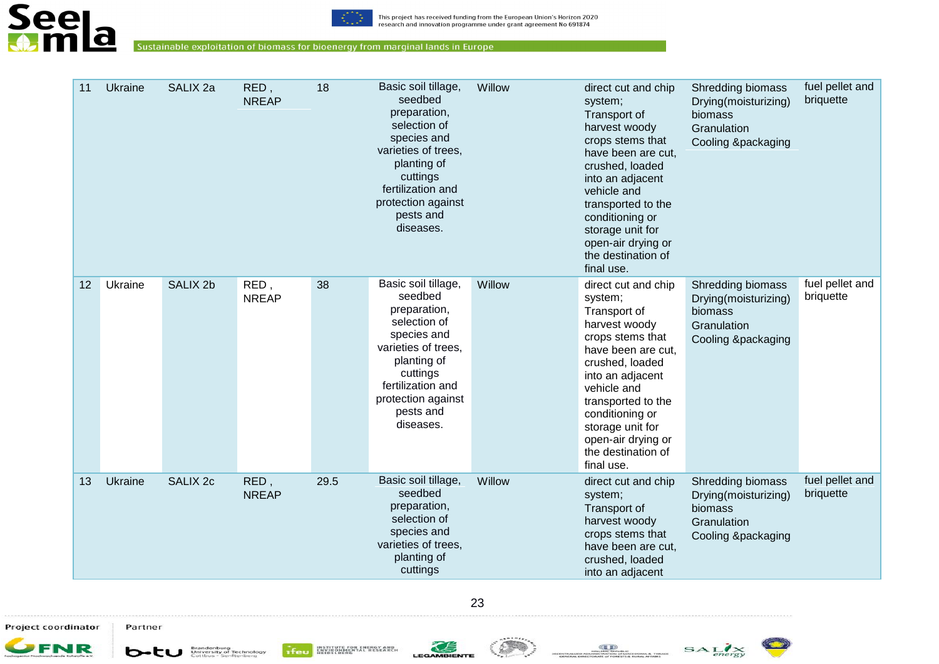



| 11 | Ukraine | SALIX <sub>2a</sub> | RED,<br><b>NREAP</b> | 18   | Basic soil tillage,<br>seedbed<br>preparation,<br>selection of<br>species and<br>varieties of trees,<br>planting of<br>cuttings<br>fertilization and<br>protection against<br>pests and<br>diseases. | Willow | direct cut and chip<br>system;<br>Transport of<br>harvest woody<br>crops stems that<br>have been are cut,<br>crushed, loaded<br>into an adjacent<br>vehicle and<br>transported to the<br>conditioning or<br>storage unit for<br>open-air drying or<br>the destination of<br>final use. | Shredding biomass<br>Drying(moisturizing)<br>biomass<br>Granulation<br>Cooling &packaging | fuel pellet and<br>briquette |
|----|---------|---------------------|----------------------|------|------------------------------------------------------------------------------------------------------------------------------------------------------------------------------------------------------|--------|----------------------------------------------------------------------------------------------------------------------------------------------------------------------------------------------------------------------------------------------------------------------------------------|-------------------------------------------------------------------------------------------|------------------------------|
| 12 | Ukraine | SALIX <sub>2b</sub> | RED,<br><b>NREAP</b> | 38   | Basic soil tillage,<br>seedbed<br>preparation,<br>selection of<br>species and<br>varieties of trees,<br>planting of<br>cuttings<br>fertilization and<br>protection against<br>pests and<br>diseases. | Willow | direct cut and chip<br>system;<br>Transport of<br>harvest woody<br>crops stems that<br>have been are cut.<br>crushed, loaded<br>into an adjacent<br>vehicle and<br>transported to the<br>conditioning or<br>storage unit for<br>open-air drying or<br>the destination of<br>final use. | Shredding biomass<br>Drying(moisturizing)<br>biomass<br>Granulation<br>Cooling &packaging | fuel pellet and<br>briquette |
| 13 | Ukraine | <b>SALIX 2c</b>     | RED,<br><b>NREAP</b> | 29.5 | Basic soil tillage,<br>seedbed<br>preparation,<br>selection of<br>species and<br>varieties of trees,<br>planting of<br>cuttings                                                                      | Willow | direct cut and chip<br>system;<br>Transport of<br>harvest woody<br>crops stems that<br>have been are cut,<br>crushed, loaded<br>into an adjacent                                                                                                                                       | Shredding biomass<br>Drying(moisturizing)<br>biomass<br>Granulation<br>Cooling &packaging | fuel pellet and<br>briquette |

23

Project coordinator Partner









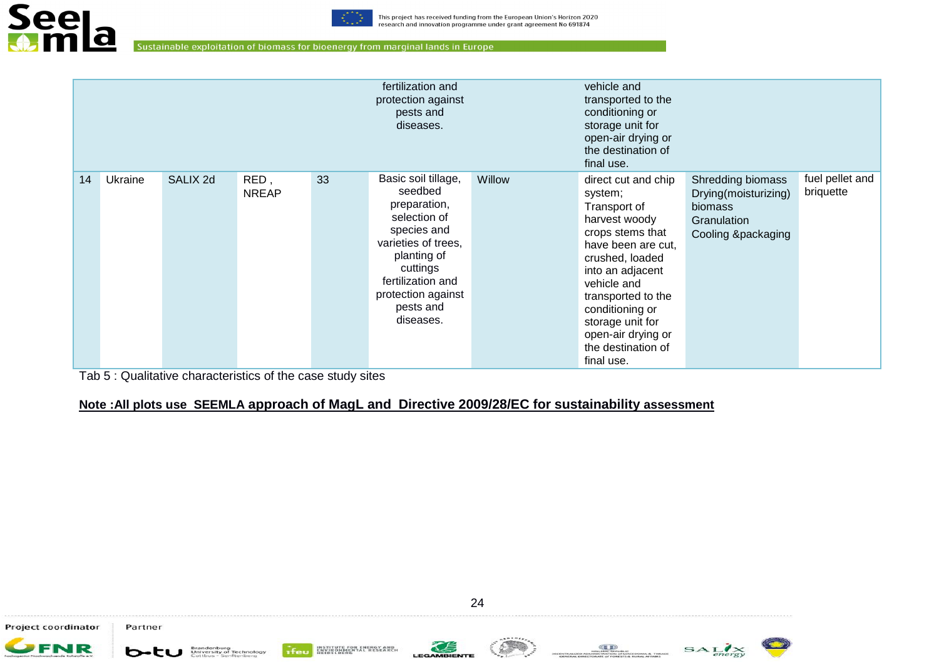

| fertilization and<br>protection against<br>pests and<br>diseases. |         |          |                      |    |                                                                                                                                                                                                      |        | vehicle and<br>transported to the<br>conditioning or<br>storage unit for<br>open-air drying or<br>the destination of<br>final use.                                                                                                                                                     |                                                                                           |                              |
|-------------------------------------------------------------------|---------|----------|----------------------|----|------------------------------------------------------------------------------------------------------------------------------------------------------------------------------------------------------|--------|----------------------------------------------------------------------------------------------------------------------------------------------------------------------------------------------------------------------------------------------------------------------------------------|-------------------------------------------------------------------------------------------|------------------------------|
| 14                                                                | Ukraine | SALIX 2d | RED,<br><b>NREAP</b> | 33 | Basic soil tillage,<br>seedbed<br>preparation,<br>selection of<br>species and<br>varieties of trees,<br>planting of<br>cuttings<br>fertilization and<br>protection against<br>pests and<br>diseases. | Willow | direct cut and chip<br>system;<br>Transport of<br>harvest woody<br>crops stems that<br>have been are cut,<br>crushed, loaded<br>into an adjacent<br>vehicle and<br>transported to the<br>conditioning or<br>storage unit for<br>open-air drying or<br>the destination of<br>final use. | Shredding biomass<br>Drying(moisturizing)<br>biomass<br>Granulation<br>Cooling &packaging | fuel pellet and<br>briquette |

Tab 5 : Qualitative characteristics of the case study sites

# **Note :All plots use SEEMLA approach of MagL and Directive 2009/28/EC for sustainability assessment**

Project coordinator



Partner





**GED**